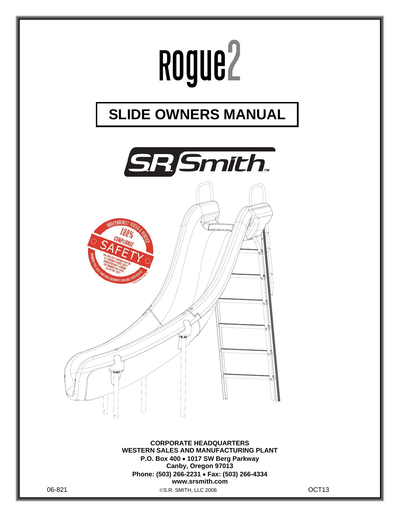

06-821 S.R. SMITH, LLC 2006 OCT13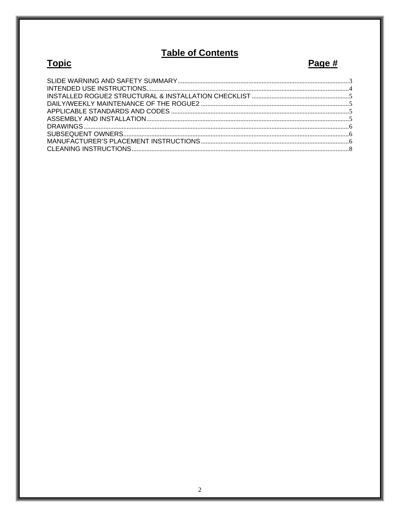## **Table of Contents**

# **Topic**

# Page #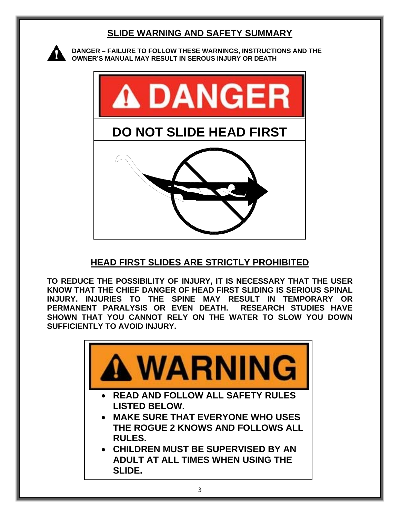## **SLIDE WARNING AND SAFETY SUMMARY**



**DANGER – FAILURE TO FOLLOW THESE WARNINGS, INSTRUCTIONS AND THE OWNER'S MANUAL MAY RESULT IN SEROUS INJURY OR DEATH** 



## **HEAD FIRST SLIDES ARE STRICTLY PROHIBITED**

**TO REDUCE THE POSSIBILITY OF INJURY, IT IS NECESSARY THAT THE USER KNOW THAT THE CHIEF DANGER OF HEAD FIRST SLIDING IS SERIOUS SPINAL INJURY. INJURIES TO THE SPINE MAY RESULT IN TEMPORARY OR PERMANENT PARALYSIS OR EVEN DEATH. RESEARCH STUDIES HAVE SHOWN THAT YOU CANNOT RELY ON THE WATER TO SLOW YOU DOWN SUFFICIENTLY TO AVOID INJURY.** 

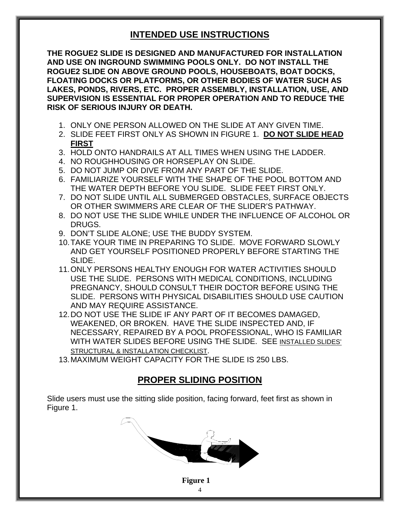### **INTENDED USE INSTRUCTIONS**

**THE ROGUE2 SLIDE IS DESIGNED AND MANUFACTURED FOR INSTALLATION AND USE ON INGROUND SWIMMING POOLS ONLY. DO NOT INSTALL THE ROGUE2 SLIDE ON ABOVE GROUND POOLS, HOUSEBOATS, BOAT DOCKS, FLOATING DOCKS OR PLATFORMS, OR OTHER BODIES OF WATER SUCH AS LAKES, PONDS, RIVERS, ETC. PROPER ASSEMBLY, INSTALLATION, USE, AND SUPERVISION IS ESSENTIAL FOR PROPER OPERATION AND TO REDUCE THE RISK OF SERIOUS INJURY OR DEATH.**

- 1. ONLY ONE PERSON ALLOWED ON THE SLIDE AT ANY GIVEN TIME.
- 2. SLIDE FEET FIRST ONLY AS SHOWN IN FIGURE 1. **DO NOT SLIDE HEAD FIRST**
- 3. HOLD ONTO HANDRAILS AT ALL TIMES WHEN USING THE LADDER.
- 4. NO ROUGHHOUSING OR HORSEPLAY ON SLIDE.
- 5. DO NOT JUMP OR DIVE FROM ANY PART OF THE SLIDE.
- 6. FAMILIARIZE YOURSELF WITH THE SHAPE OF THE POOL BOTTOM AND THE WATER DEPTH BEFORE YOU SLIDE. SLIDE FEET FIRST ONLY.
- 7. DO NOT SLIDE UNTIL ALL SUBMERGED OBSTACLES, SURFACE OBJECTS OR OTHER SWIMMERS ARE CLEAR OF THE SLIDER'S PATHWAY.
- 8. DO NOT USE THE SLIDE WHILE UNDER THE INFLUENCE OF ALCOHOL OR DRUGS.
- 9. DON'T SLIDE ALONE; USE THE BUDDY SYSTEM.
- 10. TAKE YOUR TIME IN PREPARING TO SLIDE. MOVE FORWARD SLOWLY AND GET YOURSELF POSITIONED PROPERLY BEFORE STARTING THE SLIDE.
- 11. ONLY PERSONS HEALTHY ENOUGH FOR WATER ACTIVITIES SHOULD USE THE SLIDE. PERSONS WITH MEDICAL CONDITIONS, INCLUDING PREGNANCY, SHOULD CONSULT THEIR DOCTOR BEFORE USING THE SLIDE. PERSONS WITH PHYSICAL DISABILITIES SHOULD USE CAUTION AND MAY REQUIRE ASSISTANCE.
- 12. DO NOT USE THE SLIDE IF ANY PART OF IT BECOMES DAMAGED, WEAKENED, OR BROKEN. HAVE THE SLIDE INSPECTED AND, IF NECESSARY, REPAIRED BY A POOL PROFESSIONAL, WHO IS FAMILIAR WITH WATER SLIDES BEFORE USING THE SLIDE. SEE INSTALLED SLIDES' STRUCTURAL & INSTALLATION CHECKLIST.
- 13. MAXIMUM WEIGHT CAPACITY FOR THE SLIDE IS 250 LBS.

## **PROPER SLIDING POSITION**

Slide users must use the sitting slide position, facing forward, feet first as shown in Figure 1.

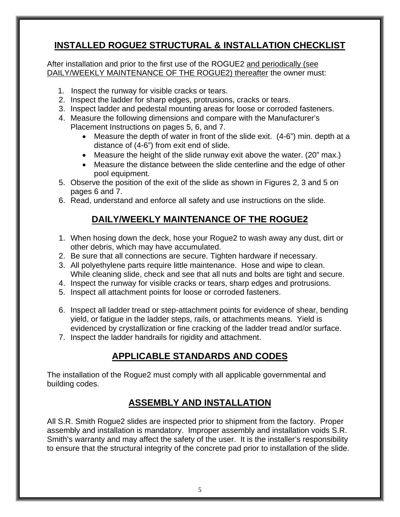## **INSTALLED ROGUE2 STRUCTURAL & INSTALLATION CHECKLIST**

After installation and prior to the first use of the ROGUE2 and periodically (see DAILY/WEEKLY MAINTENANCE OF THE ROGUE2) thereafter the owner must:

- 1. Inspect the runway for visible cracks or tears.
- 2. Inspect the ladder for sharp edges, protrusions, cracks or tears.
- 3. Inspect ladder and pedestal mounting areas for loose or corroded fasteners.
- 4. Measure the following dimensions and compare with the Manufacturer's Placement Instructions on pages 5, 6, and 7.
	- Measure the depth of water in front of the slide exit. (4-6") min. depth at a distance of (4-6") from exit end of slide.
	- Measure the height of the slide runway exit above the water. (20" max.)
	- Measure the distance between the slide centerline and the edge of other pool equipment.
- 5. Observe the position of the exit of the slide as shown in Figures 2, 3 and 5 on pages 6 and 7.
- 6. Read, understand and enforce all safety and use instructions on the slide.

## **DAILY/WEEKLY MAINTENANCE OF THE ROGUE2**

- 1. When hosing down the deck, hose your Rogue2 to wash away any dust, dirt or other debris, which may have accumulated.
- 2. Be sure that all connections are secure. Tighten hardware if necessary.
- 3. All polyethylene parts require little maintenance. Hose and wipe to clean. While cleaning slide, check and see that all nuts and bolts are tight and secure.
- 4. Inspect the runway for visible cracks or tears, sharp edges and protrusions.
- 5. Inspect all attachment points for loose or corroded fasteners.
- 6. Inspect all ladder tread or step-attachment points for evidence of shear, bending yield, or fatigue in the ladder steps, rails, or attachments means. Yield is evidenced by crystallization or fine cracking of the ladder tread and/or surface.
- 7. Inspect the ladder handrails for rigidity and attachment.

## **APPLICABLE STANDARDS AND CODES**

The installation of the Rogue2 must comply with all applicable governmental and building codes.

## **ASSEMBLY AND INSTALLATION**

All S.R. Smith Rogue2 slides are inspected prior to shipment from the factory. Proper assembly and installation is mandatory. Improper assembly and installation voids S.R. Smith's warranty and may affect the safety of the user. It is the installer's responsibility to ensure that the structural integrity of the concrete pad prior to installation of the slide.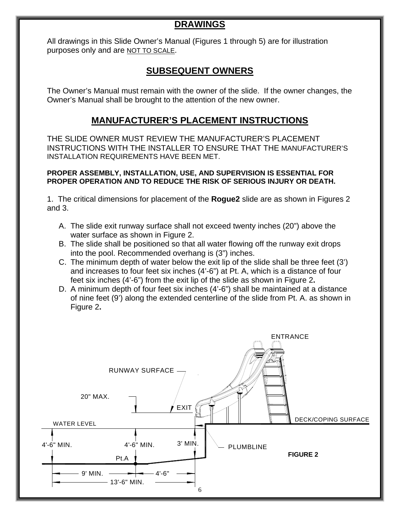## **DRAWINGS**

All drawings in this Slide Owner's Manual (Figures 1 through 5) are for illustration purposes only and are NOT TO SCALE.

### **SUBSEQUENT OWNERS**

The Owner's Manual must remain with the owner of the slide. If the owner changes, the Owner's Manual shall be brought to the attention of the new owner.

#### **MANUFACTURER'S PLACEMENT INSTRUCTIONS**

THE SLIDE OWNER MUST REVIEW THE MANUFACTURER'S PLACEMENT INSTRUCTIONS WITH THE INSTALLER TO ENSURE THAT THE MANUFACTURER'S INSTALLATION REQUIREMENTS HAVE BEEN MET.

#### **PROPER ASSEMBLY, INSTALLATION, USE, AND SUPERVISION IS ESSENTIAL FOR PROPER OPERATION AND TO REDUCE THE RISK OF SERIOUS INJURY OR DEATH.**

1. The critical dimensions for placement of the **Rogue2** slide are as shown in Figures 2 and 3.

- A. The slide exit runway surface shall not exceed twenty inches (20") above the water surface as shown in Figure 2.
- B. The slide shall be positioned so that all water flowing off the runway exit drops into the pool. Recommended overhang is (3") inches.
- C. The minimum depth of water below the exit lip of the slide shall be three feet (3') and increases to four feet six inches (4'-6") at Pt. A, which is a distance of four feet six inches (4'-6") from the exit lip of the slide as shown in Figure 2**.**
- D. A minimum depth of four feet six inches (4'-6") shall be maintained at a distance of nine feet (9') along the extended centerline of the slide from Pt. A. as shown in Figure 2**.**

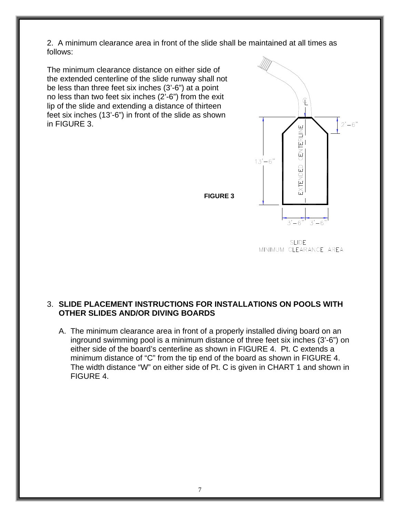2. A minimum clearance area in front of the slide shall be maintained at all times as follows:

The minimum clearance distance on either side of the extended centerline of the slide runway shall not be less than three feet six inches (3'-6") at a point no less than two feet six inches (2'-6") from the exit lip of the slide and extending a distance of thirteen feet six inches (13'-6") in front of the slide as shown in FIGURE 3.



**SLIDE** MINIMUM CLEARANCE AREA

#### 3. **SLIDE PLACEMENT INSTRUCTIONS FOR INSTALLATIONS ON POOLS WITH OTHER SLIDES AND/OR DIVING BOARDS**

A. The minimum clearance area in front of a properly installed diving board on an inground swimming pool is a minimum distance of three feet six inches (3'-6") on either side of the board's centerline as shown in FIGURE 4. Pt. C extends a minimum distance of "C" from the tip end of the board as shown in FIGURE 4. The width distance "W" on either side of Pt. C is given in CHART 1 and shown in FIGURE 4.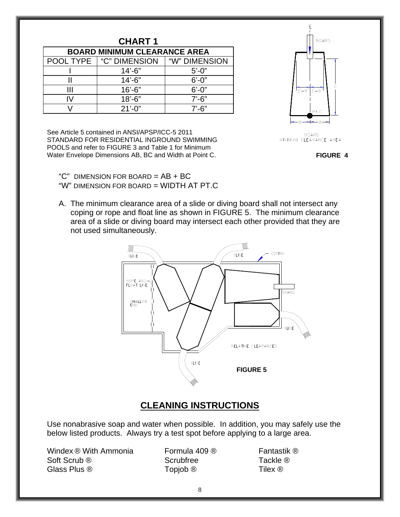| <b>CHART1</b>                       |                                  |               |  |  |
|-------------------------------------|----------------------------------|---------------|--|--|
| <b>BOARD MINIMUM CLEARANCE AREA</b> |                                  |               |  |  |
|                                     | <b>POOL TYPE   "C" DIMENSION</b> | "W" DIMENSION |  |  |
|                                     | $14' - 6"$                       | $5' - 0''$    |  |  |
|                                     | $14' - 6"$                       | $6' - 0''$    |  |  |
| Ш                                   | $16' - 6"$                       | $6' - 0''$    |  |  |
| W                                   | $18' - 6"$                       | $7' - 6''$    |  |  |
|                                     | $21'-0$ "                        | $7' - 6''$    |  |  |

See Article 5 contained in ANSI/APSP/ICC-5 2011 STANDARD FOR RESIDENTIAL INGROUND SWIMMING POOLS and refer to FIGURE 3 and Table 1 for Minimum Water Envelope Dimensions AB, BC and Width at Point C.

" $C$ " DIMENSION FOR BOARD =  $AB + BC$ "W" DIMENSION FOR BOARD = WIDTH AT PT.C

A. The minimum clearance area of a slide or diving board shall not intersect any coping or rope and float line as shown in FIGURE 5. The minimum clearance area of a slide or diving board may intersect each other provided that they are not used simultaneously.



#### **CLEANING INSTRUCTIONS**

Use nonabrasive soap and water when possible. In addition, you may safely use the below listed products. Always try a test spot before applying to a large area.

Windex ® With Ammonia Formula 409 ® Fantastik ® Soft Scrub ® Scrubfree Tackle ® Glass Plus ® Topjob ® Thex ®



BOARD<br>MINIMUM CLEARANCE AREA

**FIGURE 4**